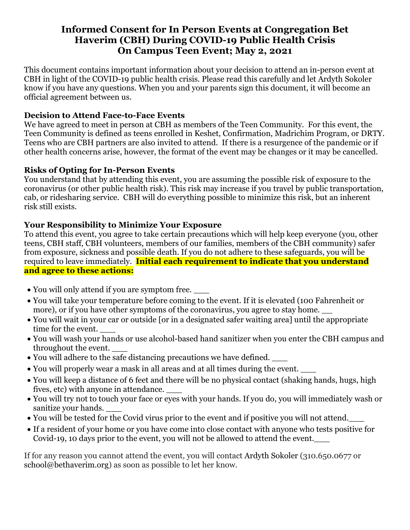# **Informed Consent for In Person Events at Congregation Bet Haverim (CBH) During COVID-19 Public Health Crisis On Campus Teen Event; May 2, 2021**

This document contains important information about your decision to attend an in-person event at CBH in light of the COVID-19 public health crisis. Please read this carefully and let Ardyth Sokoler know if you have any questions. When you and your parents sign this document, it will become an official agreement between us.

# **Decision to Attend Face-to-Face Events**

We have agreed to meet in person at CBH as members of the Teen Community. For this event, the Teen Community is defined as teens enrolled in Keshet, Confirmation, Madrichim Program, or DRTY. Teens who are CBH partners are also invited to attend. If there is a resurgence of the pandemic or if other health concerns arise, however, the format of the event may be changes or it may be cancelled.

# **Risks of Opting for In-Person Events**

You understand that by attending this event, you are assuming the possible risk of exposure to the coronavirus (or other public health risk). This risk may increase if you travel by public transportation, cab, or ridesharing service. CBH will do everything possible to minimize this risk, but an inherent risk still exists.

# **Your Responsibility to Minimize Your Exposure**

To attend this event, you agree to take certain precautions which will help keep everyone (you, other teens, CBH staff, CBH volunteers, members of our families, members of the CBH community) safer from exposure, sickness and possible death. If you do not adhere to these safeguards, you will be required to leave immediately. **Initial each requirement to indicate that you understand and agree to these actions:**

- You will only attend if you are symptom free.
- You will take your temperature before coming to the event. If it is elevated (100 Fahrenheit or more), or if you have other symptoms of the coronavirus, you agree to stay home.
- You will wait in your car or outside [or in a designated safer waiting area] until the appropriate time for the event.
- You will wash your hands or use alcohol-based hand sanitizer when you enter the CBH campus and throughout the event. \_\_\_
- You will adhere to the safe distancing precautions we have defined.
- You will properly wear a mask in all areas and at all times during the event.
- You will keep a distance of 6 feet and there will be no physical contact (shaking hands, hugs, high fives, etc) with anyone in attendance. \_\_\_
- You will try not to touch your face or eyes with your hands. If you do, you will immediately wash or sanitize your hands. \_\_\_
- You will be tested for the Covid virus prior to the event and if positive you will not attend.
- If a resident of your home or you have come into close contact with anyone who tests positive for Covid-19, 10 days prior to the event, you will not be allowed to attend the event.\_\_\_

If for any reason you cannot attend the event, you will contact Ardyth Sokoler (310.650.0677 or [school@bethaverim.org\)](mailto:school@bethaverim.org) as soon as possible to let her know.